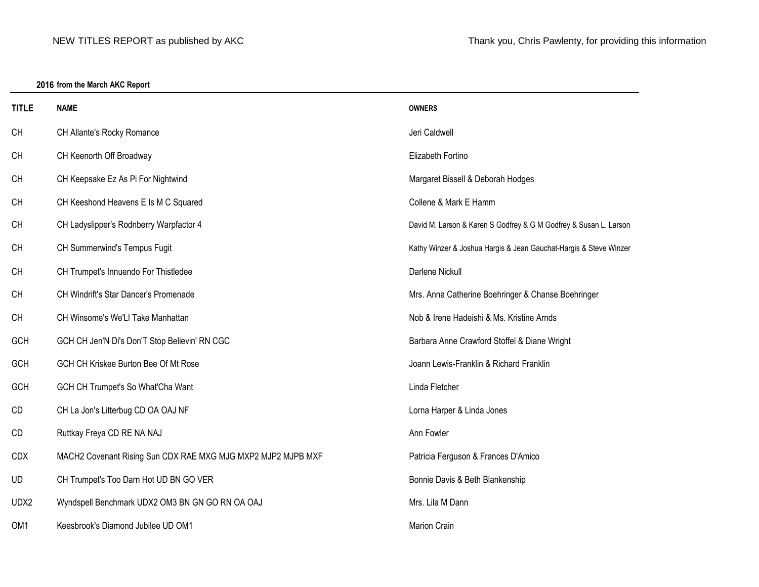## **2016 from the March AKC Report**

| <b>TITLE</b> | <b>NAME</b>                                                  | <b>OWNERS</b>                                                     |  |
|--------------|--------------------------------------------------------------|-------------------------------------------------------------------|--|
| CH           | CH Allante's Rocky Romance                                   | Jeri Caldwell                                                     |  |
| CH           | CH Keenorth Off Broadway                                     | Elizabeth Fortino                                                 |  |
| <b>CH</b>    | CH Keepsake Ez As Pi For Nightwind                           | Margaret Bissell & Deborah Hodges                                 |  |
| CH           | CH Keeshond Heavens E Is M C Squared                         | Collene & Mark E Hamm                                             |  |
| <b>CH</b>    | CH Ladyslipper's Rodnberry Warpfactor 4                      | David M. Larson & Karen S Godfrey & G M Godfrey & Susan L. Larson |  |
| <b>CH</b>    | CH Summerwind's Tempus Fugit                                 | Kathy Winzer & Joshua Hargis & Jean Gauchat-Hargis & Steve Winzer |  |
| <b>CH</b>    | CH Trumpet's Innuendo For Thistledee                         | Darlene Nickull                                                   |  |
| CH           | CH Windrift's Star Dancer's Promenade                        | Mrs. Anna Catherine Boehringer & Chanse Boehringer                |  |
| CH           | CH Winsome's We'Ll Take Manhattan                            | Nob & Irene Hadeishi & Ms. Kristine Arnds                         |  |
| GCH          | GCH CH Jen'N Di's Don'T Stop Believin' RN CGC                | Barbara Anne Crawford Stoffel & Diane Wright                      |  |
| GCH          | GCH CH Kriskee Burton Bee Of Mt Rose                         | Joann Lewis-Franklin & Richard Franklin                           |  |
| GCH          | GCH CH Trumpet's So What'Cha Want                            | Linda Fletcher                                                    |  |
| CD           | CH La Jon's Litterbug CD OA OAJ NF                           | Lorna Harper & Linda Jones                                        |  |
| CD           | Ruttkay Freya CD RE NA NAJ                                   | Ann Fowler                                                        |  |
| <b>CDX</b>   | MACH2 Covenant Rising Sun CDX RAE MXG MJG MXP2 MJP2 MJPB MXF | Patricia Ferguson & Frances D'Amico                               |  |
| UD           | CH Trumpet's Too Darn Hot UD BN GO VER                       | Bonnie Davis & Beth Blankenship                                   |  |
| UDX2         | Wyndspell Benchmark UDX2 OM3 BN GN GO RN OA OAJ              | Mrs. Lila M Dann                                                  |  |
| OM1          | Keesbrook's Diamond Jubilee UD OM1                           | <b>Marion Crain</b>                                               |  |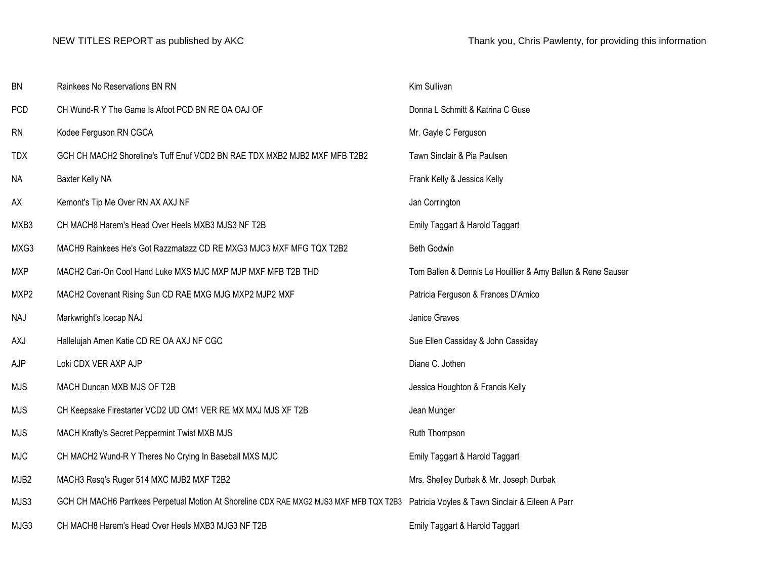| <b>BN</b>  | Rainkees No Reservations BN RN                                                                                                         | Kim Sullivan                                                |  |
|------------|----------------------------------------------------------------------------------------------------------------------------------------|-------------------------------------------------------------|--|
| <b>PCD</b> | CH Wund-R Y The Game Is Afoot PCD BN RE OA OAJ OF                                                                                      | Donna L Schmitt & Katrina C Guse                            |  |
| <b>RN</b>  | Kodee Ferguson RN CGCA                                                                                                                 | Mr. Gayle C Ferguson                                        |  |
| <b>TDX</b> | GCH CH MACH2 Shoreline's Tuff Enuf VCD2 BN RAE TDX MXB2 MJB2 MXF MFB T2B2                                                              | Tawn Sinclair & Pia Paulsen                                 |  |
| <b>NA</b>  | Baxter Kelly NA                                                                                                                        | Frank Kelly & Jessica Kelly                                 |  |
| AX         | Kemont's Tip Me Over RN AX AXJ NF                                                                                                      | Jan Corrington                                              |  |
| MXB3       | CH MACH8 Harem's Head Over Heels MXB3 MJS3 NF T2B                                                                                      | Emily Taggart & Harold Taggart                              |  |
| MXG3       | MACH9 Rainkees He's Got Razzmatazz CD RE MXG3 MJC3 MXF MFG TQX T2B2                                                                    | Beth Godwin                                                 |  |
| <b>MXP</b> | MACH2 Cari-On Cool Hand Luke MXS MJC MXP MJP MXF MFB T2B THD                                                                           | Tom Ballen & Dennis Le Houillier & Amy Ballen & Rene Sauser |  |
| MXP2       | MACH2 Covenant Rising Sun CD RAE MXG MJG MXP2 MJP2 MXF                                                                                 | Patricia Ferguson & Frances D'Amico                         |  |
| <b>NAJ</b> | Markwright's Icecap NAJ                                                                                                                | Janice Graves                                               |  |
| AXJ        | Hallelujah Amen Katie CD RE OA AXJ NF CGC                                                                                              | Sue Ellen Cassiday & John Cassiday                          |  |
| AJP        | Loki CDX VER AXP AJP                                                                                                                   | Diane C. Jothen                                             |  |
| <b>MJS</b> | MACH Duncan MXB MJS OF T2B                                                                                                             | Jessica Houghton & Francis Kelly                            |  |
| <b>MJS</b> | CH Keepsake Firestarter VCD2 UD OM1 VER RE MX MXJ MJS XF T2B                                                                           | Jean Munger                                                 |  |
| <b>MJS</b> | MACH Krafty's Secret Peppermint Twist MXB MJS                                                                                          | Ruth Thompson                                               |  |
| MJC        | CH MACH2 Wund-R Y Theres No Crying In Baseball MXS MJC                                                                                 | Emily Taggart & Harold Taggart                              |  |
| MJB2       | MACH3 Resq's Ruger 514 MXC MJB2 MXF T2B2                                                                                               | Mrs. Shelley Durbak & Mr. Joseph Durbak                     |  |
| MJS3       | GCH CH MACH6 Parrkees Perpetual Motion At Shoreline CDX RAE MXG2 MJS3 MXF MFB TQX T2B3 Patricia Voyles & Tawn Sinclair & Eileen A Parr |                                                             |  |
| MJG3       | CH MACH8 Harem's Head Over Heels MXB3 MJG3 NF T2B                                                                                      | Emily Taggart & Harold Taggart                              |  |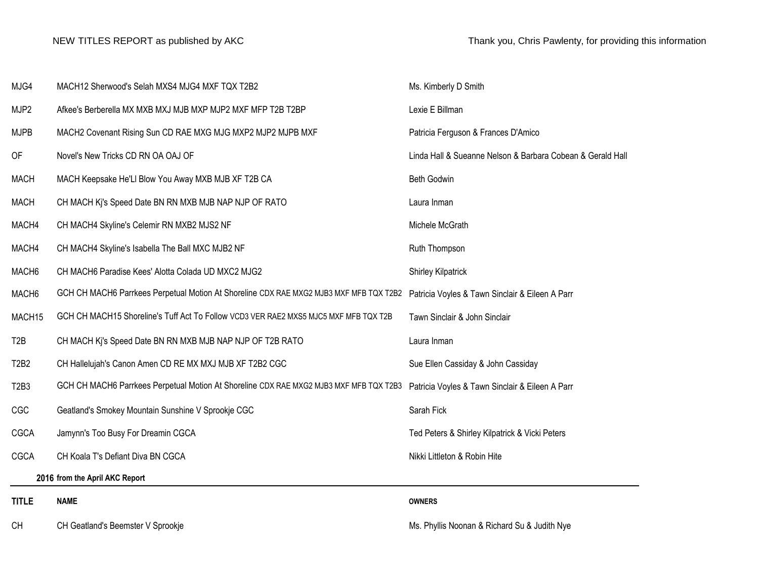| MJG4                          | MACH12 Sherwood's Selah MXS4 MJG4 MXF TQX T2B2                                         | Ms. Kimberly D Smith                                       |  |
|-------------------------------|----------------------------------------------------------------------------------------|------------------------------------------------------------|--|
| MJP2                          | Afkee's Berberella MX MXB MXJ MJB MXP MJP2 MXF MFP T2B T2BP                            | Lexie E Billman                                            |  |
| <b>MJPB</b>                   | MACH2 Covenant Rising Sun CD RAE MXG MJG MXP2 MJP2 MJPB MXF                            | Patricia Ferguson & Frances D'Amico                        |  |
| OF                            | Novel's New Tricks CD RN OA OAJ OF                                                     | Linda Hall & Sueanne Nelson & Barbara Cobean & Gerald Hall |  |
| <b>MACH</b>                   | MACH Keepsake He'LI Blow You Away MXB MJB XF T2B CA                                    | <b>Beth Godwin</b>                                         |  |
| <b>MACH</b>                   | CH MACH Kj's Speed Date BN RN MXB MJB NAP NJP OF RATO                                  | Laura Inman                                                |  |
| MACH4                         | CH MACH4 Skyline's Celemir RN MXB2 MJS2 NF                                             | Michele McGrath                                            |  |
| MACH4                         | CH MACH4 Skyline's Isabella The Ball MXC MJB2 NF                                       | Ruth Thompson                                              |  |
| MACH <sub>6</sub>             | CH MACH6 Paradise Kees' Alotta Colada UD MXC2 MJG2                                     | <b>Shirley Kilpatrick</b>                                  |  |
| MACH <sub>6</sub>             | GCH CH MACH6 Parrkees Perpetual Motion At Shoreline CDX RAE MXG2 MJB3 MXF MFB TQX T2B2 | Patricia Voyles & Tawn Sinclair & Eileen A Parr            |  |
| MACH15                        | GCH CH MACH15 Shoreline's Tuff Act To Follow VCD3 VER RAE2 MXS5 MJC5 MXF MFB TQX T2B   | Tawn Sinclair & John Sinclair                              |  |
| T <sub>2</sub> B              | CH MACH Ki's Speed Date BN RN MXB MJB NAP NJP OF T2B RATO                              | Laura Inman                                                |  |
| T2B2                          | CH Hallelujah's Canon Amen CD RE MX MXJ MJB XF T2B2 CGC                                | Sue Ellen Cassiday & John Cassiday                         |  |
| T <sub>2</sub> B <sub>3</sub> | GCH CH MACH6 Parrkees Perpetual Motion At Shoreline CDX RAE MXG2 MJB3 MXF MFB TQX T2B3 | Patricia Voyles & Tawn Sinclair & Eileen A Parr            |  |
| CGC                           | Geatland's Smokey Mountain Sunshine V Sprookje CGC                                     | Sarah Fick                                                 |  |
| CGCA                          | Jamynn's Too Busy For Dreamin CGCA                                                     | Ted Peters & Shirley Kilpatrick & Vicki Peters             |  |
| <b>CGCA</b>                   | CH Koala T's Defiant Diva BN CGCA                                                      | Nikki Littleton & Robin Hite                               |  |
|                               | 2016 from the April AKC Report                                                         |                                                            |  |
| <b>TITLE</b>                  | <b>NAME</b>                                                                            | <b>OWNERS</b>                                              |  |
| <b>CH</b>                     | CH Geatland's Beemster V Sprookje                                                      | Ms. Phyllis Noonan & Richard Su & Judith Nye               |  |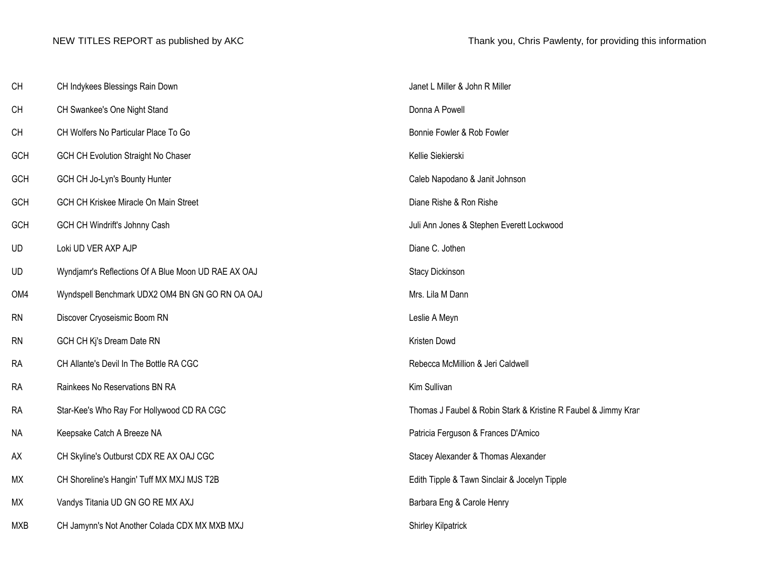| CH        | CH Indykees Blessings Rain Down                     | Janet L Miller & John R Miller                                 |  |
|-----------|-----------------------------------------------------|----------------------------------------------------------------|--|
| CH        | CH Swankee's One Night Stand                        | Donna A Powell                                                 |  |
| CH        | CH Wolfers No Particular Place To Go                | Bonnie Fowler & Rob Fowler                                     |  |
| GCH       | GCH CH Evolution Straight No Chaser                 | Kellie Siekierski                                              |  |
| GCH       | GCH CH Jo-Lyn's Bounty Hunter                       | Caleb Napodano & Janit Johnson                                 |  |
| GCH       | GCH CH Kriskee Miracle On Main Street               | Diane Rishe & Ron Rishe                                        |  |
| GCH       | GCH CH Windrift's Johnny Cash                       | Juli Ann Jones & Stephen Everett Lockwood                      |  |
| UD        | Loki UD VER AXP AJP                                 | Diane C. Jothen                                                |  |
| UD        | Wyndjamr's Reflections Of A Blue Moon UD RAE AX OAJ | Stacy Dickinson                                                |  |
| OM4       | Wyndspell Benchmark UDX2 OM4 BN GN GO RN OA OAJ     | Mrs. Lila M Dann                                               |  |
|           |                                                     |                                                                |  |
| <b>RN</b> | Discover Cryoseismic Boom RN                        | Leslie A Meyn                                                  |  |
| <b>RN</b> | GCH CH Ki's Dream Date RN                           | Kristen Dowd                                                   |  |
| <b>RA</b> | CH Allante's Devil In The Bottle RA CGC             | Rebecca McMillion & Jeri Caldwell                              |  |
| <b>RA</b> | Rainkees No Reservations BN RA                      | Kim Sullivan                                                   |  |
| <b>RA</b> | Star-Kee's Who Ray For Hollywood CD RA CGC          | Thomas J Faubel & Robin Stark & Kristine R Faubel & Jimmy Krar |  |
| <b>NA</b> | Keepsake Catch A Breeze NA                          | Patricia Ferguson & Frances D'Amico                            |  |
| AX        | CH Skyline's Outburst CDX RE AX OAJ CGC             | Stacey Alexander & Thomas Alexander                            |  |
| MX        | CH Shoreline's Hangin' Tuff MX MXJ MJS T2B          | Edith Tipple & Tawn Sinclair & Jocelyn Tipple                  |  |
| MX        | Vandys Titania UD GN GO RE MX AXJ                   | Barbara Eng & Carole Henry                                     |  |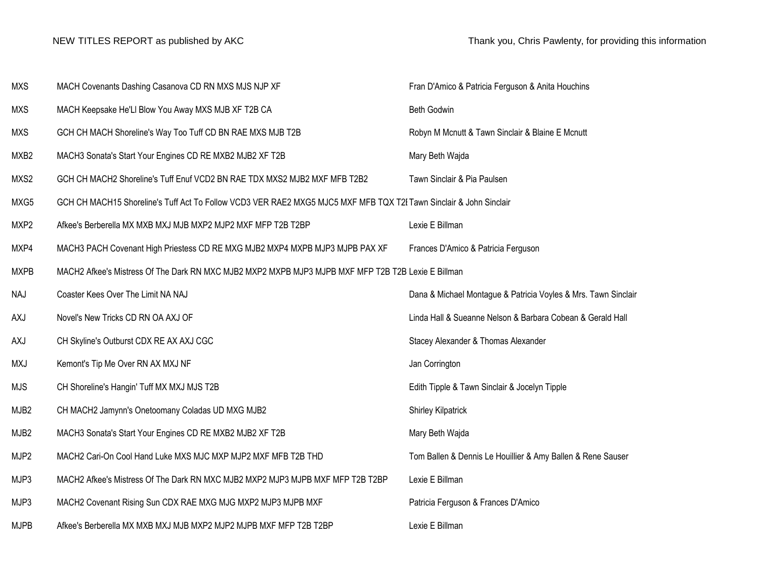| <b>MXS</b>       | MACH Covenants Dashing Casanova CD RN MXS MJS NJP XF                                                               | Fran D'Amico & Patricia Ferguson & Anita Houchins              |  |
|------------------|--------------------------------------------------------------------------------------------------------------------|----------------------------------------------------------------|--|
| <b>MXS</b>       | MACH Keepsake He'Ll Blow You Away MXS MJB XF T2B CA                                                                | Beth Godwin                                                    |  |
| <b>MXS</b>       | GCH CH MACH Shoreline's Way Too Tuff CD BN RAE MXS MJB T2B                                                         | Robyn M Mcnutt & Tawn Sinclair & Blaine E Mcnutt               |  |
| MXB2             | MACH3 Sonata's Start Your Engines CD RE MXB2 MJB2 XF T2B                                                           | Mary Beth Wajda                                                |  |
| MXS2             | GCH CH MACH2 Shoreline's Tuff Enuf VCD2 BN RAE TDX MXS2 MJB2 MXF MFB T2B2                                          | Tawn Sinclair & Pia Paulsen                                    |  |
| MXG5             | GCH CH MACH15 Shoreline's Tuff Act To Follow VCD3 VER RAE2 MXG5 MJC5 MXF MFB TQX T2I Tawn Sinclair & John Sinclair |                                                                |  |
| MXP2             | Afkee's Berberella MX MXB MXJ MJB MXP2 MJP2 MXF MFP T2B T2BP                                                       | Lexie E Billman                                                |  |
| MXP4             | MACH3 PACH Covenant High Priestess CD RE MXG MJB2 MXP4 MXPB MJP3 MJPB PAX XF                                       | Frances D'Amico & Patricia Ferguson                            |  |
| <b>MXPB</b>      | MACH2 Afkee's Mistress Of The Dark RN MXC MJB2 MXP2 MXPB MJP3 MJPB MXF MFP T2B T2B Lexie E Billman                 |                                                                |  |
| <b>NAJ</b>       | Coaster Kees Over The Limit NA NAJ                                                                                 | Dana & Michael Montague & Patricia Voyles & Mrs. Tawn Sinclair |  |
| AXJ              | Novel's New Tricks CD RN OA AXJ OF                                                                                 | Linda Hall & Sueanne Nelson & Barbara Cobean & Gerald Hall     |  |
| <b>AXJ</b>       | CH Skyline's Outburst CDX RE AX AXJ CGC                                                                            | Stacey Alexander & Thomas Alexander                            |  |
| <b>MXJ</b>       | Kemont's Tip Me Over RN AX MXJ NF                                                                                  | Jan Corrington                                                 |  |
| <b>MJS</b>       | CH Shoreline's Hangin' Tuff MX MXJ MJS T2B                                                                         | Edith Tipple & Tawn Sinclair & Jocelyn Tipple                  |  |
| MJB <sub>2</sub> | CH MACH2 Jamynn's Onetoomany Coladas UD MXG MJB2                                                                   | <b>Shirley Kilpatrick</b>                                      |  |
| MJB2             | MACH3 Sonata's Start Your Engines CD RE MXB2 MJB2 XF T2B                                                           | Mary Beth Wajda                                                |  |
| MJP2             | MACH2 Cari-On Cool Hand Luke MXS MJC MXP MJP2 MXF MFB T2B THD                                                      | Tom Ballen & Dennis Le Houillier & Amy Ballen & Rene Sauser    |  |
| MJP3             | MACH2 Afkee's Mistress Of The Dark RN MXC MJB2 MXP2 MJP3 MJPB MXF MFP T2B T2BP                                     | Lexie E Billman                                                |  |
| MJP3             | MACH2 Covenant Rising Sun CDX RAE MXG MJG MXP2 MJP3 MJPB MXF                                                       | Patricia Ferguson & Frances D'Amico                            |  |
| <b>MJPB</b>      | Afkee's Berberella MX MXB MXJ MJB MXP2 MJP2 MJPB MXF MFP T2B T2BP                                                  | Lexie E Billman                                                |  |